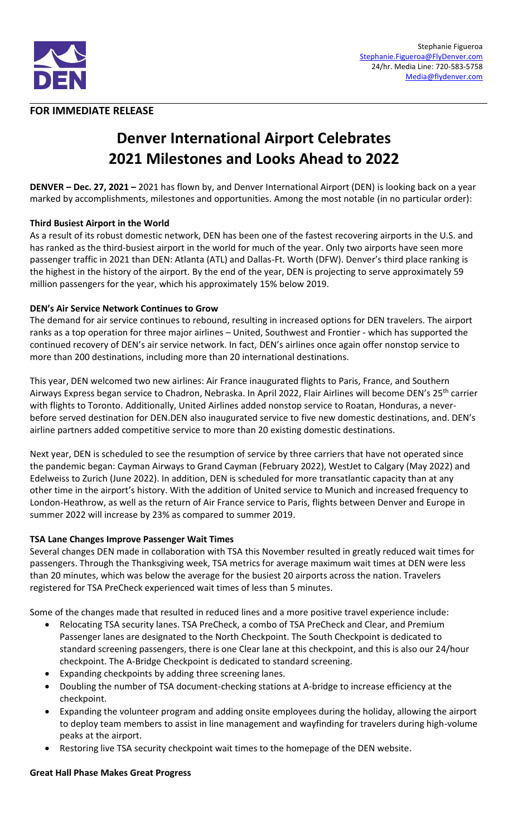

# **FOR IMMEDIATE RELEASE**

# **Denver International Airport Celebrates 2021 Milestones and Looks Ahead to 2022**

**DENVER – Dec. 27, 2021 –** 2021 has flown by, and Denver International Airport (DEN) is looking back on a year marked by accomplishments, milestones and opportunities. Among the most notable (in no particular order):

## **Third Busiest Airport in the World**

As a result of its robust domestic network, DEN has been one of the fastest recovering airports in the U.S. and has ranked as the third-busiest airport in the world for much of the year. Only two airports have seen more passenger traffic in 2021 than DEN: Atlanta (ATL) and Dallas-Ft. Worth (DFW). Denver's third place ranking is the highest in the history of the airport. By the end of the year, DEN is projecting to serve approximately 59 million passengers for the year, which his approximately 15% below 2019.

## **DEN's Air Service Network Continues to Grow**

The demand for air service continues to rebound, resulting in increased options for DEN travelers. The airport ranks as a top operation for three major airlines – United, Southwest and Frontier - which has supported the continued recovery of DEN's air service network. In fact, DEN's airlines once again offer nonstop service to more than 200 destinations, including more than 20 international destinations.

This year, DEN welcomed two new airlines: Air France inaugurated flights to Paris, France, and Southern Airways Express began service to Chadron, Nebraska. In April 2022, Flair Airlines will become DEN's 25th carrier with flights to Toronto. Additionally, United Airlines added nonstop service to Roatan, Honduras, a neverbefore served destination for DEN.DEN also inaugurated service to five new domestic destinations, and. DEN's airline partners added competitive service to more than 20 existing domestic destinations.

Next year, DEN is scheduled to see the resumption of service by three carriers that have not operated since the pandemic began: Cayman Airways to Grand Cayman (February 2022), WestJet to Calgary (May 2022) and Edelweiss to Zurich (June 2022). In addition, DEN is scheduled for more transatlantic capacity than at any other time in the airport's history. With the addition of United service to Munich and increased frequency to London-Heathrow, as well as the return of Air France service to Paris, flights between Denver and Europe in summer 2022 will increase by 23% as compared to summer 2019.

## **TSA Lane Changes Improve Passenger Wait Times**

Several changes DEN made in collaboration with TSA this November resulted in greatly reduced wait times for passengers. Through the Thanksgiving week, TSA metrics for average maximum wait times at DEN were less than 20 minutes, which was below the average for the busiest 20 airports across the nation. Travelers registered for TSA PreCheck experienced wait times of less than 5 minutes.

Some of the changes made that resulted in reduced lines and a more positive travel experience include:

- Relocating TSA security lanes. TSA PreCheck, a combo of TSA PreCheck and Clear, and Premium Passenger lanes are designated to the North Checkpoint. The South Checkpoint is dedicated to standard screening passengers, there is one Clear lane at this checkpoint, and this is also our 24/hour checkpoint. The A-Bridge Checkpoint is dedicated to standard screening.
- Expanding checkpoints by adding three screening lanes.
- Doubling the number of TSA document-checking stations at A-bridge to increase efficiency at the checkpoint.
- Expanding the volunteer program and adding onsite employees during the holiday, allowing the airport to deploy team members to assist in line management and wayfinding for travelers during high-volume peaks at the airport.
- Restoring live TSA security checkpoint wait times to the homepage of the DEN website.

## **Great Hall Phase Makes Great Progress**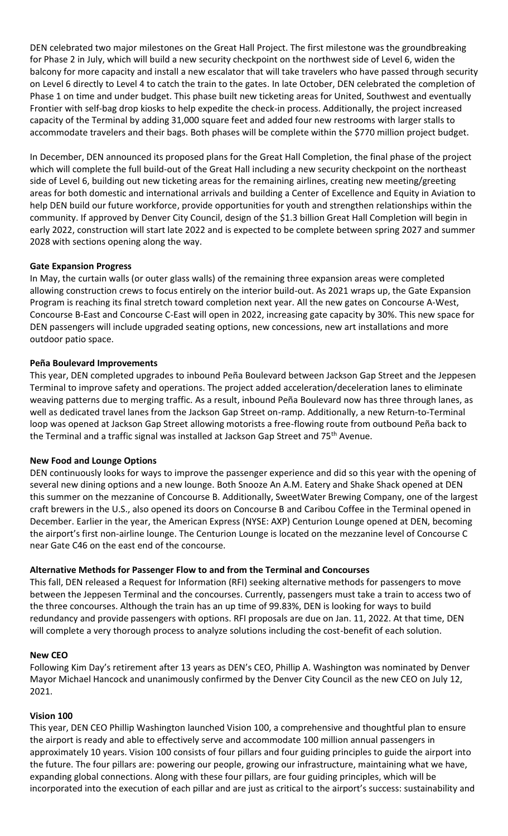DEN celebrated two major milestones on the Great Hall Project. The first milestone was the groundbreaking for Phase 2 in July, which will build a new security checkpoint on the northwest side of Level 6, widen the balcony for more capacity and install a new escalator that will take travelers who have passed through security on Level 6 directly to Level 4 to catch the train to the gates. In late October, DEN celebrated the completion of Phase 1 on time and under budget. This phase built new ticketing areas for United, Southwest and eventually Frontier with self-bag drop kiosks to help expedite the check-in process. Additionally, the project increased capacity of the Terminal by adding 31,000 square feet and added four new restrooms with larger stalls to accommodate travelers and their bags. Both phases will be complete within the \$770 million project budget.

In December, DEN announced its proposed plans for the Great Hall Completion, the final phase of the project which will complete the full build-out of the Great Hall including a new security checkpoint on the northeast side of Level 6, building out new ticketing areas for the remaining airlines, creating new meeting/greeting areas for both domestic and international arrivals and building a Center of Excellence and Equity in Aviation to help DEN build our future workforce, provide opportunities for youth and strengthen relationships within the community. If approved by Denver City Council, design of the \$1.3 billion Great Hall Completion will begin in early 2022, construction will start late 2022 and is expected to be complete between spring 2027 and summer 2028 with sections opening along the way.

# **Gate Expansion Progress**

In May, the curtain walls (or outer glass walls) of the remaining three expansion areas were completed allowing construction crews to focus entirely on the interior build-out. As 2021 wraps up, the Gate Expansion Program is reaching its final stretch toward completion next year. All the new gates on Concourse A-West, Concourse B-East and Concourse C-East will open in 2022, increasing gate capacity by 30%. This new space for DEN passengers will include upgraded seating options, new concessions, new art installations and more outdoor patio space.

# **Peña Boulevard Improvements**

This year, DEN completed upgrades to inbound Peña Boulevard between Jackson Gap Street and the Jeppesen Terminal to improve safety and operations. The project added acceleration/deceleration lanes to eliminate weaving patterns due to merging traffic. As a result, inbound Peña Boulevard now has three through lanes, as well as dedicated travel lanes from the Jackson Gap Street on-ramp. Additionally, a new Return-to-Terminal loop was opened at Jackson Gap Street allowing motorists a free-flowing route from outbound Peña back to the Terminal and a traffic signal was installed at Jackson Gap Street and 75<sup>th</sup> Avenue.

## **New Food and Lounge Options**

DEN continuously looks for ways to improve the passenger experience and did so this year with the opening of several new dining options and a new lounge. Both Snooze An A.M. Eatery and Shake Shack opened at DEN this summer on the mezzanine of Concourse B. Additionally, SweetWater Brewing Company, one of the largest craft brewers in the U.S., also opened its doors on Concourse B and Caribou Coffee in the Terminal opened in December. Earlier in the year, the American Express (NYSE: AXP) Centurion Lounge opened at DEN, becoming the airport's first non-airline lounge. The Centurion Lounge is located on the mezzanine level of Concourse C near Gate C46 on the east end of the concourse.

# **Alternative Methods for Passenger Flow to and from the Terminal and Concourses**

This fall, DEN released a Request for Information (RFI) seeking alternative methods for passengers to move between the Jeppesen Terminal and the concourses. Currently, passengers must take a train to access two of the three concourses. Although the train has an up time of 99.83%, DEN is looking for ways to build redundancy and provide passengers with options. RFI proposals are due on Jan. 11, 2022. At that time, DEN will complete a very thorough process to analyze solutions including the cost-benefit of each solution.

## **New CEO**

Following Kim Day's retirement after 13 years as DEN's CEO, Phillip A. Washington was nominated by Denver Mayor Michael Hancock and unanimously confirmed by the Denver City Council as the new CEO on July 12, 2021.

## **Vision 100**

This year, DEN CEO Phillip Washington launched Vision 100, a comprehensive and thoughtful plan to ensure the airport is ready and able to effectively serve and accommodate 100 million annual passengers in approximately 10 years. Vision 100 consists of four pillars and four guiding principles to guide the airport into the future. The four pillars are: powering our people, growing our infrastructure, maintaining what we have, expanding global connections. Along with these four pillars, are four guiding principles, which will be incorporated into the execution of each pillar and are just as critical to the airport's success: sustainability and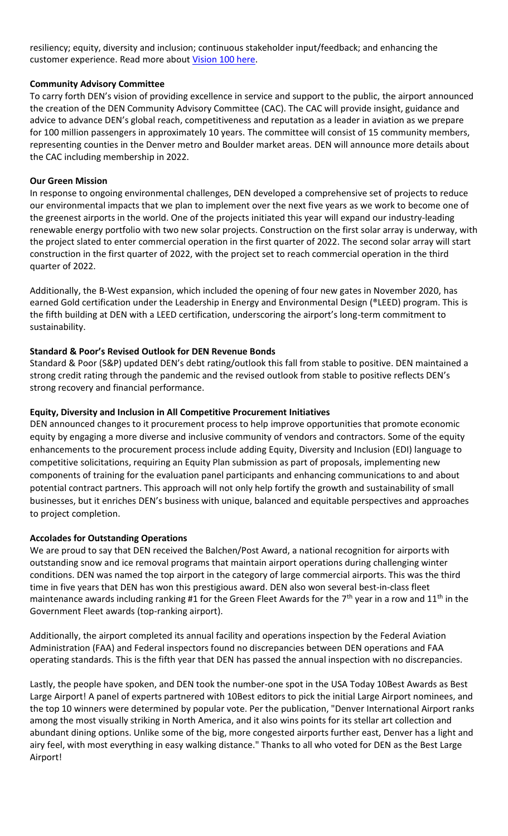resiliency; equity, diversity and inclusion; continuous stakeholder input/feedback; and enhancing the customer experience. Read more about [Vision 100 here.](https://www.flydenver.com/message_ceo_phillip_washington_vision_100_our_journey_100_million_passengers)

# **Community Advisory Committee**

To carry forth DEN's vision of providing excellence in service and support to the public, the airport announced the creation of the DEN Community Advisory Committee (CAC). The CAC will provide insight, guidance and advice to advance DEN's global reach, competitiveness and reputation as a leader in aviation as we prepare for 100 million passengers in approximately 10 years. The committee will consist of 15 community members, representing counties in the Denver metro and Boulder market areas. DEN will announce more details about the CAC including membership in 2022.

## **Our Green Mission**

In response to ongoing environmental challenges, DEN developed a comprehensive set of projects to reduce our environmental impacts that we plan to implement over the next five years as we work to become one of the greenest airports in the world. One of the projects initiated this year will expand our industry-leading renewable energy portfolio with two new solar projects. Construction on the first solar array is underway, with the project slated to enter commercial operation in the first quarter of 2022. The second solar array will start construction in the first quarter of 2022, with the project set to reach commercial operation in the third quarter of 2022.

Additionally, the B-West expansion, which included the opening of four new gates in November 2020, has earned Gold certification under the Leadership in Energy and Environmental Design (®LEED) program. This is the fifth building at DEN with a LEED certification, underscoring the airport's long-term commitment to sustainability.

# **Standard & Poor's Revised Outlook for DEN Revenue Bonds**

Standard & Poor (S&P) updated DEN's debt rating/outlook this fall from stable to positive. DEN maintained a strong credit rating through the pandemic and the revised outlook from stable to positive reflects DEN's strong recovery and financial performance.

# **Equity, Diversity and Inclusion in All Competitive Procurement Initiatives**

DEN announced changes to it procurement process to help improve opportunities that promote economic equity by engaging a more diverse and inclusive community of vendors and contractors. Some of the equity enhancements to the procurement process include adding Equity, Diversity and Inclusion (EDI) language to competitive solicitations, requiring an Equity Plan submission as part of proposals, implementing new components of training for the evaluation panel participants and enhancing communications to and about potential contract partners. This approach will not only help fortify the growth and sustainability of small businesses, but it enriches DEN's business with unique, balanced and equitable perspectives and approaches to project completion.

## **Accolades for Outstanding Operations**

We are proud to say that DEN received the Balchen/Post Award, a national recognition for airports with outstanding snow and ice removal programs that maintain airport operations during challenging winter conditions. DEN was named the top airport in the category of large commercial airports. This was the third time in five years that DEN has won this prestigious award. DEN also won several best-in-class fleet maintenance awards including ranking #1 for the Green Fleet Awards for the 7<sup>th</sup> year in a row and 11<sup>th</sup> in the Government Fleet awards (top-ranking airport).

Additionally, the airport completed its annual facility and operations inspection by the Federal Aviation Administration (FAA) and Federal inspectors found no discrepancies between DEN operations and FAA operating standards. This is the fifth year that DEN has passed the annual inspection with no discrepancies.

Lastly, the people have spoken, and DEN took the number-one spot in the USA Today 10Best Awards as Best Large Airport! A panel of experts partnered with 10Best editors to pick the initial Large Airport nominees, and the top 10 winners were determined by popular vote. Per the publication, "Denver International Airport ranks among the most visually striking in North America, and it also wins points for its stellar art collection and abundant dining options. Unlike some of the big, more congested airports further east, Denver has a light and airy feel, with most everything in easy walking distance." Thanks to all who voted for DEN as the Best Large Airport!